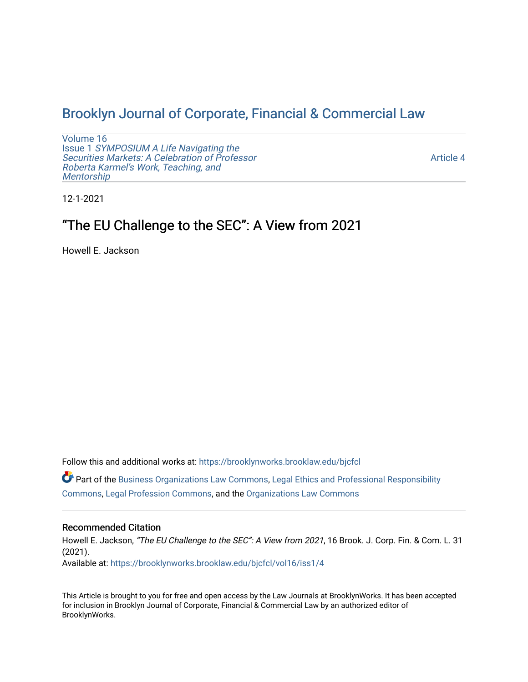# [Brooklyn Journal of Corporate, Financial & Commercial Law](https://brooklynworks.brooklaw.edu/bjcfcl)

[Volume 16](https://brooklynworks.brooklaw.edu/bjcfcl/vol16) Issue 1 [SYMPOSIUM A Life Navigating the](https://brooklynworks.brooklaw.edu/bjcfcl/vol16/iss1) [Securities Markets: A Celebration of Professor](https://brooklynworks.brooklaw.edu/bjcfcl/vol16/iss1) [Roberta Karmel's Work, Teaching, and](https://brooklynworks.brooklaw.edu/bjcfcl/vol16/iss1)  **Mentorship** 

[Article 4](https://brooklynworks.brooklaw.edu/bjcfcl/vol16/iss1/4) 

12-1-2021

# "The EU Challenge to the SEC": A View from 2021

Howell E. Jackson

Follow this and additional works at: [https://brooklynworks.brooklaw.edu/bjcfcl](https://brooklynworks.brooklaw.edu/bjcfcl?utm_source=brooklynworks.brooklaw.edu%2Fbjcfcl%2Fvol16%2Fiss1%2F4&utm_medium=PDF&utm_campaign=PDFCoverPages)

 $\bullet$  Part of the [Business Organizations Law Commons](http://network.bepress.com/hgg/discipline/900?utm_source=brooklynworks.brooklaw.edu%2Fbjcfcl%2Fvol16%2Fiss1%2F4&utm_medium=PDF&utm_campaign=PDFCoverPages), [Legal Ethics and Professional Responsibility](http://network.bepress.com/hgg/discipline/895?utm_source=brooklynworks.brooklaw.edu%2Fbjcfcl%2Fvol16%2Fiss1%2F4&utm_medium=PDF&utm_campaign=PDFCoverPages) [Commons](http://network.bepress.com/hgg/discipline/895?utm_source=brooklynworks.brooklaw.edu%2Fbjcfcl%2Fvol16%2Fiss1%2F4&utm_medium=PDF&utm_campaign=PDFCoverPages), [Legal Profession Commons,](http://network.bepress.com/hgg/discipline/1075?utm_source=brooklynworks.brooklaw.edu%2Fbjcfcl%2Fvol16%2Fiss1%2F4&utm_medium=PDF&utm_campaign=PDFCoverPages) and the [Organizations Law Commons](http://network.bepress.com/hgg/discipline/865?utm_source=brooklynworks.brooklaw.edu%2Fbjcfcl%2Fvol16%2Fiss1%2F4&utm_medium=PDF&utm_campaign=PDFCoverPages) 

### Recommended Citation

Howell E. Jackson, "The EU Challenge to the SEC": A View from 2021, 16 Brook. J. Corp. Fin. & Com. L. 31 (2021). Available at: [https://brooklynworks.brooklaw.edu/bjcfcl/vol16/iss1/4](https://brooklynworks.brooklaw.edu/bjcfcl/vol16/iss1/4?utm_source=brooklynworks.brooklaw.edu%2Fbjcfcl%2Fvol16%2Fiss1%2F4&utm_medium=PDF&utm_campaign=PDFCoverPages)

This Article is brought to you for free and open access by the Law Journals at BrooklynWorks. It has been accepted for inclusion in Brooklyn Journal of Corporate, Financial & Commercial Law by an authorized editor of BrooklynWorks.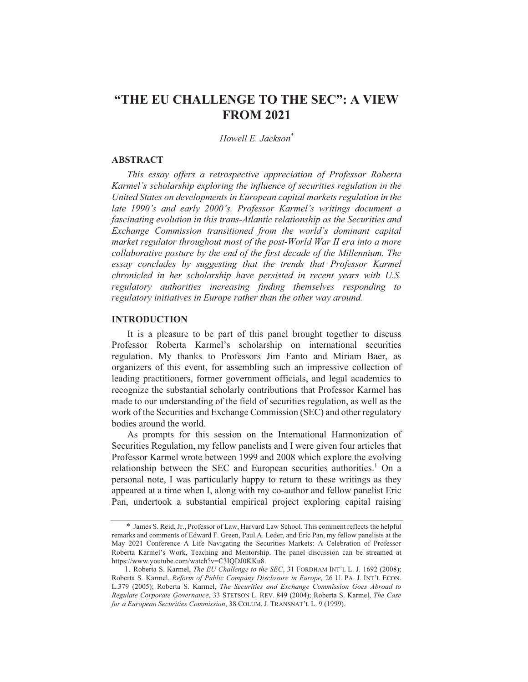## "THE EU CHALLENGE TO THE SEC": A VIEW **FROM 2021**

Howell E. Jackson\*

#### **ABSTRACT**

This essay offers a retrospective appreciation of Professor Roberta Karmel's scholarship exploring the influence of securities regulation in the United States on developments in European capital markets regulation in the late 1990's and early 2000's. Professor Karmel's writings document a fascinating evolution in this trans-Atlantic relationship as the Securities and Exchange Commission transitioned from the world's dominant capital market regulator throughout most of the post-World War II era into a more collaborative posture by the end of the first decade of the Millennium. The essay concludes by suggesting that the trends that Professor Karmel chronicled in her scholarship have persisted in recent years with U.S. regulatory authorities increasing finding themselves responding to regulatory initiatives in Europe rather than the other way around.

#### **INTRODUCTION**

It is a pleasure to be part of this panel brought together to discuss Professor Roberta Karmel's scholarship on international securities regulation. My thanks to Professors Jim Fanto and Miriam Baer, as organizers of this event, for assembling such an impressive collection of leading practitioners, former government officials, and legal academics to recognize the substantial scholarly contributions that Professor Karmel has made to our understanding of the field of securities regulation, as well as the work of the Securities and Exchange Commission (SEC) and other regulatory bodies around the world.

As prompts for this session on the International Harmonization of Securities Regulation, my fellow panelists and I were given four articles that Professor Karmel wrote between 1999 and 2008 which explore the evolving relationship between the SEC and European securities authorities.<sup>1</sup> On a personal note, I was particularly happy to return to these writings as they appeared at a time when I, along with my co-author and fellow panelist Eric Pan, undertook a substantial empirical project exploring capital raising

<sup>\*</sup> James S. Reid, Jr., Professor of Law, Harvard Law School. This comment reflects the helpful remarks and comments of Edward F. Green, Paul A. Leder, and Eric Pan, my fellow panelists at the May 2021 Conference A Life Navigating the Securities Markets: A Celebration of Professor Roberta Karmel's Work, Teaching and Mentorship. The panel discussion can be streamed at https://www.youtube.com/watch?v=C3IQDJ0KKu8.

<sup>1.</sup> Roberta S. Karmel, The EU Challenge to the SEC, 31 FORDHAM INT'L L. J. 1692 (2008); Roberta S. Karmel, Reform of Public Company Disclosure in Europe, 26 U. PA. J. INT'L ECON. L.379 (2005); Roberta S. Karmel, The Securities and Exchange Commission Goes Abroad to Regulate Corporate Governance, 33 STETSON L. REV. 849 (2004); Roberta S. Karmel, The Case for a European Securities Commission, 38 COLUM. J. TRANSNAT'L L. 9 (1999).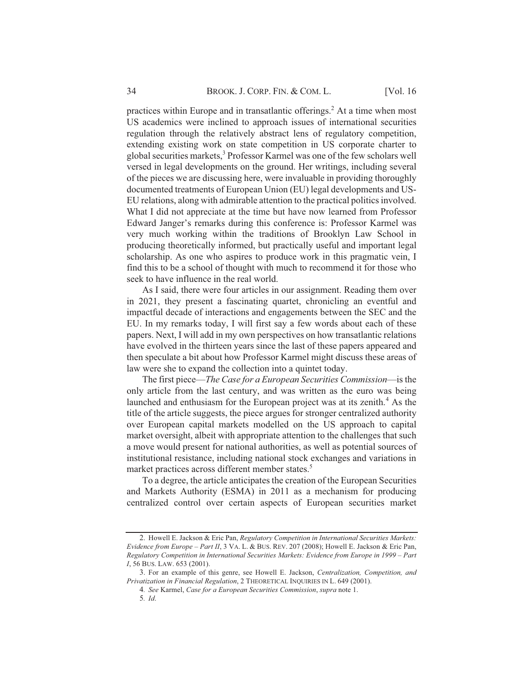practices within Europe and in transatlantic offerings.<sup>2</sup> At a time when most US academics were inclined to approach issues of international securities regulation through the relatively abstract lens of regulatory competition, extending existing work on state competition in US corporate charter to global securities markets,<sup>3</sup> Professor Karmel was one of the few scholars well versed in legal developments on the ground. Her writings, including several of the pieces we are discussing here, were invaluable in providing thoroughly documented treatments of European Union (EU) legal developments and US-EU relations, along with admirable attention to the practical politics involved. What I did not appreciate at the time but have now learned from Professor Edward Janger's remarks during this conference is: Professor Karmel was very much working within the traditions of Brooklyn Law School in producing theoretically informed, but practically useful and important legal scholarship. As one who aspires to produce work in this pragmatic vein, I find this to be a school of thought with much to recommend it for those who seek to have influence in the real world.

As I said, there were four articles in our assignment. Reading them over in 2021, they present a fascinating quartet, chronicling an eventful and impactful decade of interactions and engagements between the SEC and the EU. In my remarks today, I will first say a few words about each of these papers. Next, I will add in my own perspectives on how transatlantic relations have evolved in the thirteen years since the last of these papers appeared and then speculate a bit about how Professor Karmel might discuss these areas of law were she to expand the collection into a quintet today.

The first piece—The Case for a European Securities Commission—is the only article from the last century, and was written as the euro was being launched and enthusiasm for the European project was at its zenith.<sup>4</sup> As the title of the article suggests, the piece argues for stronger centralized authority over European capital markets modelled on the US approach to capital market oversight, albeit with appropriate attention to the challenges that such a move would present for national authorities, as well as potential sources of institutional resistance, including national stock exchanges and variations in market practices across different member states.<sup>5</sup>

To a degree, the article anticipates the creation of the European Securities and Markets Authority (ESMA) in 2011 as a mechanism for producing centralized control over certain aspects of European securities market

<sup>2.</sup> Howell E. Jackson & Eric Pan, Regulatory Competition in International Securities Markets: Evidence from Europe - Part II, 3 VA. L. & BUS. REV. 207 (2008); Howell E. Jackson & Eric Pan, Regulatory Competition in International Securities Markets: Evidence from Europe in 1999 - Part I, 56 BUS. LAW. 653 (2001).

<sup>3.</sup> For an example of this genre, see Howell E. Jackson, Centralization, Competition, and Privatization in Financial Regulation, 2 THEORETICAL INQUIRIES IN L. 649 (2001).

<sup>4.</sup> See Karmel, Case for a European Securities Commission, supra note 1.

<sup>5.</sup> Id.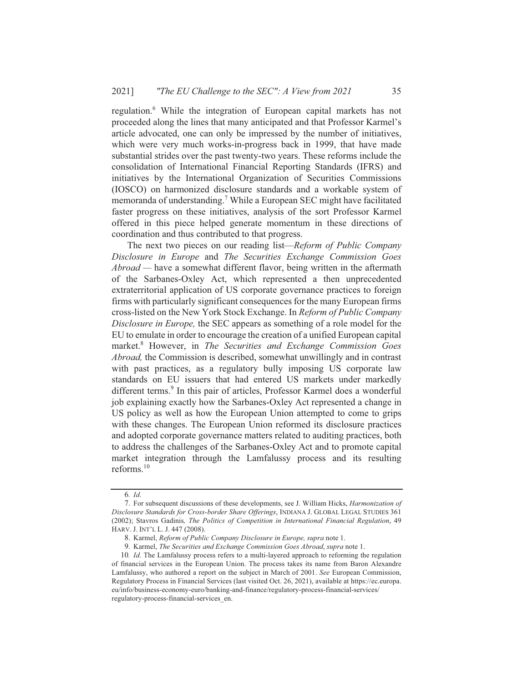regulation.<sup>6</sup> While the integration of European capital markets has not proceeded along the lines that many anticipated and that Professor Karmel's article advocated, one can only be impressed by the number of initiatives, which were very much works-in-progress back in 1999, that have made substantial strides over the past twenty-two years. These reforms include the consolidation of International Financial Reporting Standards (IFRS) and initiatives by the International Organization of Securities Commissions (IOSCO) on harmonized disclosure standards and a workable system of memoranda of understanding.<sup>7</sup> While a European SEC might have facilitated faster progress on these initiatives, analysis of the sort Professor Karmel offered in this piece helped generate momentum in these directions of coordination and thus contributed to that progress.

The next two pieces on our reading list—Reform of Public Company Disclosure in Europe and The Securities Exchange Commission Goes Abroad — have a somewhat different flavor, being written in the aftermath of the Sarbanes-Oxley Act, which represented a then unprecedented extraterritorial application of US corporate governance practices to foreign firms with particularly significant consequences for the many European firms cross-listed on the New York Stock Exchange. In Reform of Public Company Disclosure in Europe, the SEC appears as something of a role model for the EU to emulate in order to encourage the creation of a unified European capital market.<sup>8</sup> However, in The Securities and Exchange Commission Goes *Abroad*, the Commission is described, somewhat unwillingly and in contrast with past practices, as a regulatory bully imposing US corporate law standards on EU issuers that had entered US markets under markedly different terms.<sup>9</sup> In this pair of articles, Professor Karmel does a wonderful job explaining exactly how the Sarbanes-Oxley Act represented a change in US policy as well as how the European Union attempted to come to grips with these changes. The European Union reformed its disclosure practices and adopted corporate governance matters related to auditing practices, both to address the challenges of the Sarbanes-Oxley Act and to promote capital market integration through the Lamfalussy process and its resulting reforms. $10$ 

<sup>6.</sup> Id.

<sup>7.</sup> For subsequent discussions of these developments, see J. William Hicks, *Harmonization of* Disclosure Standards for Cross-border Share Offerings, INDIANA J. GLOBAL LEGAL STUDIES 361 (2002); Stavros Gadinis, The Politics of Competition in International Financial Regulation, 49 HARV. J. INT'L L. J. 447 (2008).

<sup>8.</sup> Karmel, Reform of Public Company Disclosure in Europe, supra note 1.

<sup>9.</sup> Karmel, The Securities and Exchange Commission Goes Abroad, supra note 1.

<sup>10.</sup> Id. The Lamfalussy process refers to a multi-layered approach to reforming the regulation of financial services in the European Union. The process takes its name from Baron Alexandre Lamfalussy, who authored a report on the subject in March of 2001. See European Commission, Regulatory Process in Financial Services (last visited Oct. 26, 2021), available at https://ec.europa. eu/info/business-economy-euro/banking-and-finance/regulatory-process-financial-services/ regulatory-process-financial-services en.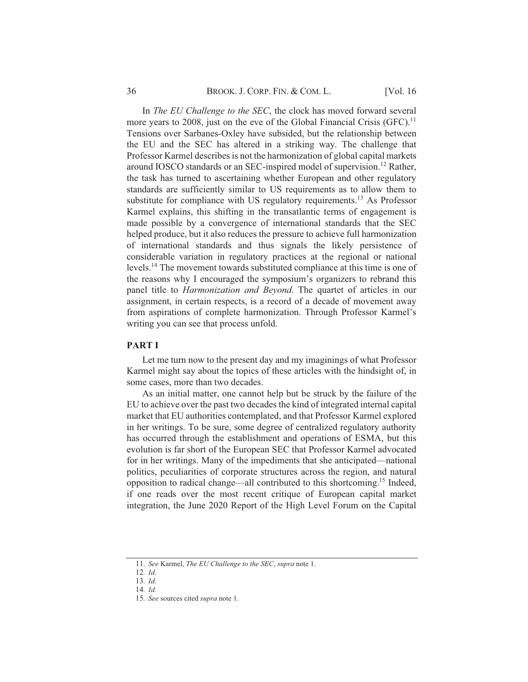In *The EU Challenge to the SEC*, the clock has moved forward several more years to 2008, just on the eve of the Global Financial Crisis  $(GFC).<sup>11</sup>$ Tensions over Sarbanes-Oxley have subsided, but the relationship between the EU and the SEC has altered in a striking way. The challenge that Professor Karmel describes is not the harmonization of global capital markets around IOSCO standards or an SEC-inspired model of supervision.<sup>12</sup> Rather, the task has turned to ascertaining whether European and other regulatory standards are sufficiently similar to US requirements as to allow them to substitute for compliance with US regulatory requirements.<sup>13</sup> As Professor Karmel explains, this shifting in the transatlantic terms of engagement is made possible by a convergence of international standards that the SEC helped produce, but it also reduces the pressure to achieve full harmonization of international standards and thus signals the likely persistence of considerable variation in regulatory practices at the regional or national levels.<sup>14</sup> The movement towards substituted compliance at this time is one of the reasons why I encouraged the symposium's organizers to rebrand this panel title to *Harmonization and Beyond*. The quartet of articles in our assignment, in certain respects, is a record of a decade of movement away from aspirations of complete harmonization. Through Professor Karmel's writing you can see that process unfold.

#### **PART I**

Let me turn now to the present day and my imaginings of what Professor Karmel might say about the topics of these articles with the hindsight of, in some cases, more than two decades.

As an initial matter, one cannot help but be struck by the failure of the EU to achieve over the past two decades the kind of integrated internal capital market that EU authorities contemplated, and that Professor Karmel explored in her writings. To be sure, some degree of centralized regulatory authority has occurred through the establishment and operations of ESMA, but this evolution is far short of the European SEC that Professor Karmel advocated for in her writings. Many of the impediments that she anticipated—national politics, peculiarities of corporate structures across the region, and natural opposition to radical change—all contributed to this shortcoming.<sup>15</sup> Indeed, if one reads over the most recent critique of European capital market integration, the June 2020 Report of the High Level Forum on the Capital

<sup>11.</sup> See Karmel, The EU Challenge to the SEC, supra note 1.

 $12.$  *Id.* 

 $13.$  *Id.* 

<sup>14.</sup> Id.

<sup>15.</sup> See sources cited supra note 1.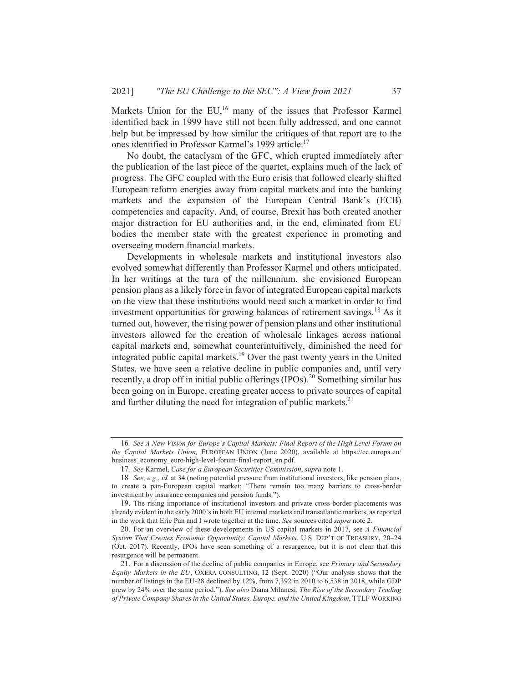Markets Union for the EU,<sup>16</sup> many of the issues that Professor Karmel identified back in 1999 have still not been fully addressed, and one cannot help but be impressed by how similar the critiques of that report are to the ones identified in Professor Karmel's 1999 article.<sup>17</sup>

No doubt, the cataclysm of the GFC, which erupted immediately after the publication of the last piece of the quartet, explains much of the lack of progress. The GFC coupled with the Euro crisis that followed clearly shifted European reform energies away from capital markets and into the banking markets and the expansion of the European Central Bank's (ECB) competencies and capacity. And, of course, Brexit has both created another major distraction for EU authorities and, in the end, eliminated from EU bodies the member state with the greatest experience in promoting and overseeing modern financial markets.

Developments in wholesale markets and institutional investors also evolved somewhat differently than Professor Karmel and others anticipated. In her writings at the turn of the millennium, she envisioned European pension plans as a likely force in favor of integrated European capital markets on the view that these institutions would need such a market in order to find investment opportunities for growing balances of retirement savings.<sup>18</sup> As it turned out, however, the rising power of pension plans and other institutional investors allowed for the creation of wholesale linkages across national capital markets and, somewhat counterintuitively, diminished the need for integrated public capital markets.<sup>19</sup> Over the past twenty years in the United States, we have seen a relative decline in public companies and, until very recently, a drop off in initial public offerings (IPOs).<sup>20</sup> Something similar has been going on in Europe, creating greater access to private sources of capital and further diluting the need for integration of public markets. $2<sup>1</sup>$ 

<sup>16.</sup> See A New Vision for Europe's Capital Markets: Final Report of the High Level Forum on the Capital Markets Union, EUROPEAN UNION (June 2020), available at https://ec.europa.eu/ business economy euro/high-level-forum-final-report en.pdf.

<sup>17.</sup> See Karmel, Case for a European Securities Commission, supra note 1.

<sup>18.</sup> See, e.g., id. at 34 (noting potential pressure from institutional investors, like pension plans, to create a pan-European capital market: "There remain too many barriers to cross-border investment by insurance companies and pension funds.").

<sup>19.</sup> The rising importance of institutional investors and private cross-border placements was already evident in the early 2000's in both EU internal markets and transatlantic markets, as reported in the work that Eric Pan and I wrote together at the time. See sources cited supra note 2.

<sup>20.</sup> For an overview of these developments in US capital markets in 2017, see A Financial System That Creates Economic Opportunity: Capital Markets, U.S. DEP'T OF TREASURY, 20-24 (Oct. 2017). Recently, IPOs have seen something of a resurgence, but it is not clear that this resurgence will be permanent.

<sup>21.</sup> For a discussion of the decline of public companies in Europe, see Primary and Secondary Equity Markets in the EU, OXERA CONSULTING, 12 (Sept. 2020) ("Our analysis shows that the number of listings in the EU-28 declined by 12%, from 7,392 in 2010 to 6,538 in 2018, while GDP grew by 24% over the same period."). See also Diana Milanesi, The Rise of the Secondary Trading of Private Company Shares in the United States, Europe, and the United Kingdom, TTLF WORKING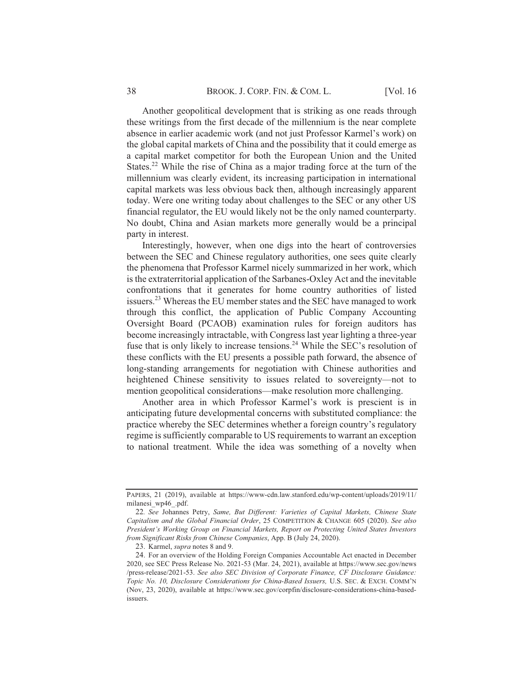Another geopolitical development that is striking as one reads through these writings from the first decade of the millennium is the near complete absence in earlier academic work (and not just Professor Karmel's work) on the global capital markets of China and the possibility that it could emerge as a capital market competitor for both the European Union and the United States.<sup>22</sup> While the rise of China as a major trading force at the turn of the millennium was clearly evident, its increasing participation in international capital markets was less obvious back then, although increasingly apparent today. Were one writing today about challenges to the SEC or any other US financial regulator, the EU would likely not be the only named counterparty. No doubt, China and Asian markets more generally would be a principal party in interest.

Interestingly, however, when one digs into the heart of controversies between the SEC and Chinese regulatory authorities, one sees quite clearly the phenomena that Professor Karmel nicely summarized in her work, which is the extraterritorial application of the Sarbanes-Oxley Act and the inevitable confrontations that it generates for home country authorities of listed issuers.<sup>23</sup> Whereas the EU member states and the SEC have managed to work through this conflict, the application of Public Company Accounting Oversight Board (PCAOB) examination rules for foreign auditors has become increasingly intractable, with Congress last year lighting a three-year fuse that is only likely to increase tensions.<sup>24</sup> While the SEC's resolution of these conflicts with the EU presents a possible path forward, the absence of long-standing arrangements for negotiation with Chinese authorities and heightened Chinese sensitivity to issues related to sovereignty-not to mention geopolitical considerations—make resolution more challenging.

Another area in which Professor Karmel's work is prescient is in anticipating future developmental concerns with substituted compliance: the practice whereby the SEC determines whether a foreign country's regulatory regime is sufficiently comparable to US requirements to warrant an exception to national treatment. While the idea was something of a novelty when

PAPERS, 21 (2019), available at https://www-cdn.law.stanford.edu/wp-content/uploads/2019/11/ milanesi wp46 .pdf.

<sup>22.</sup> See Johannes Petry, Same, But Different: Varieties of Capital Markets, Chinese State Capitalism and the Global Financial Order, 25 COMPETITION & CHANGE 605 (2020). See also President's Working Group on Financial Markets, Report on Protecting United States Investors from Significant Risks from Chinese Companies, App. B (July 24, 2020).

<sup>23.</sup> Karmel, supra notes 8 and 9.

<sup>24.</sup> For an overview of the Holding Foreign Companies Accountable Act enacted in December 2020, see SEC Press Release No. 2021-53 (Mar. 24, 2021), available at https://www.sec.gov/news /press-release/2021-53. See also SEC Division of Corporate Finance, CF Disclosure Guidance: Topic No. 10, Disclosure Considerations for China-Based Issuers, U.S. SEC. & EXCH. COMM'N (Nov, 23, 2020), available at https://www.sec.gov/corpfin/disclosure-considerations-china-basedissuers.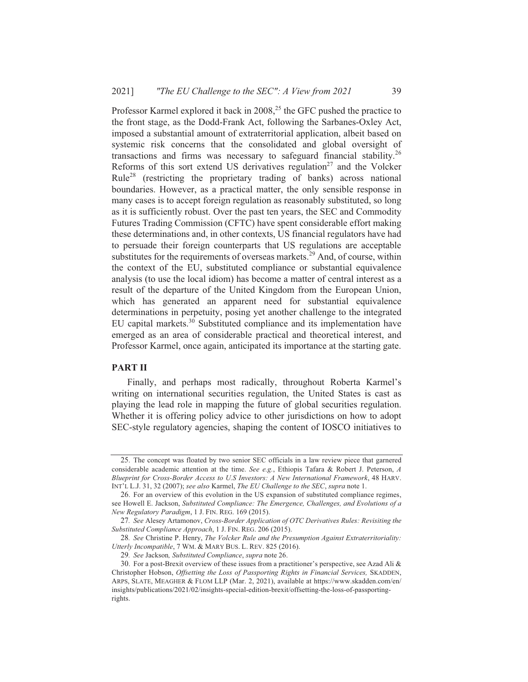Professor Karmel explored it back in 2008<sup>25</sup> the GFC pushed the practice to the front stage, as the Dodd-Frank Act, following the Sarbanes-Oxley Act, imposed a substantial amount of extraterritorial application, albeit based on systemic risk concerns that the consolidated and global oversight of transactions and firms was necessary to safeguard financial stability.<sup>26</sup> Reforms of this sort extend US derivatives regulation<sup>27</sup> and the Volcker Rule<sup>28</sup> (restricting the proprietary trading of banks) across national boundaries. However, as a practical matter, the only sensible response in many cases is to accept foreign regulation as reasonably substituted, so long as it is sufficiently robust. Over the past ten years, the SEC and Commodity Futures Trading Commission (CFTC) have spent considerable effort making these determinations and, in other contexts, US financial regulators have had to persuade their foreign counterparts that US regulations are acceptable substitutes for the requirements of overseas markets.<sup>29</sup> And, of course, within the context of the EU, substituted compliance or substantial equivalence analysis (to use the local idiom) has become a matter of central interest as a result of the departure of the United Kingdom from the European Union, which has generated an apparent need for substantial equivalence determinations in perpetuity, posing yet another challenge to the integrated EU capital markets.<sup>30</sup> Substituted compliance and its implementation have emerged as an area of considerable practical and theoretical interest, and Professor Karmel, once again, anticipated its importance at the starting gate.

#### **PART II**

Finally, and perhaps most radically, throughout Roberta Karmel's writing on international securities regulation, the United States is cast as playing the lead role in mapping the future of global securities regulation. Whether it is offering policy advice to other jurisdictions on how to adopt SEC-style regulatory agencies, shaping the content of IOSCO initiatives to

<sup>25.</sup> The concept was floated by two senior SEC officials in a law review piece that garnered considerable academic attention at the time. See e.g., Ethiopis Tafara & Robert J. Peterson, A Blueprint for Cross-Border Access to U.S Investors: A New International Framework, 48 HARV. INT'L L.J. 31, 32 (2007); see also Karmel, The EU Challenge to the SEC, supra note 1.

<sup>26.</sup> For an overview of this evolution in the US expansion of substituted compliance regimes, see Howell E. Jackson, Substituted Compliance: The Emergence, Challenges, and Evolutions of a New Regulatory Paradigm, 1 J. FIN. REG. 169 (2015).

<sup>27.</sup> See Alesey Artamonov, Cross-Border Application of OTC Derivatives Rules: Revisiting the Substituted Compliance Approach, 1 J. FIN. REG. 206 (2015).

<sup>28.</sup> See Christine P. Henry, The Volcker Rule and the Presumption Against Extraterritoriality: Utterly Incompatible, 7 WM. & MARY BUS. L. REV. 825 (2016).

<sup>29.</sup> See Jackson, Substituted Compliance, supra note 26.

<sup>30.</sup> For a post-Brexit overview of these issues from a practitioner's perspective, see Azad Ali  $\&$ Christopher Hobson, Offsetting the Loss of Passporting Rights in Financial Services, SKADDEN, ARPS, SLATE, MEAGHER & FLOM LLP (Mar. 2, 2021), available at https://www.skadden.com/en/ insights/publications/2021/02/insights-special-edition-brexit/offsetting-the-loss-of-passportingrights.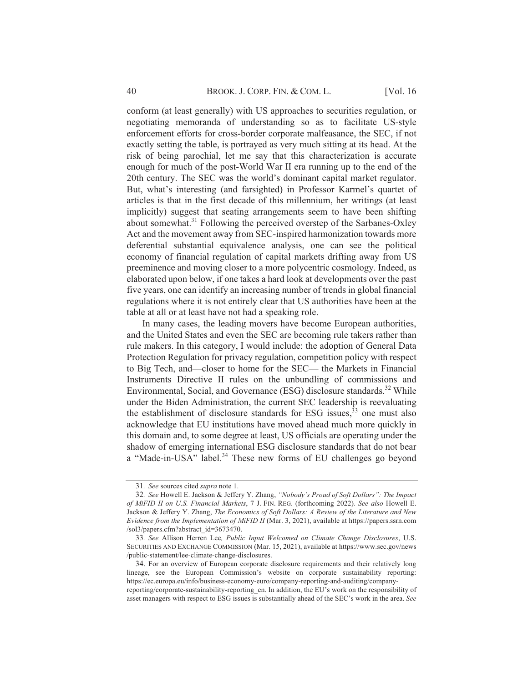conform (at least generally) with US approaches to securities regulation, or negotiating memoranda of understanding so as to facilitate US-style enforcement efforts for cross-border corporate malfeasance, the SEC, if not exactly setting the table, is portrayed as very much sitting at its head. At the risk of being parochial, let me say that this characterization is accurate enough for much of the post-World War II era running up to the end of the 20th century. The SEC was the world's dominant capital market regulator. But, what's interesting (and farsighted) in Professor Karmel's quartet of articles is that in the first decade of this millennium, her writings (at least implicitly) suggest that seating arrangements seem to have been shifting about somewhat.<sup>31</sup> Following the perceived overstep of the Sarbanes-Oxley Act and the movement away from SEC-inspired harmonization towards more deferential substantial equivalence analysis, one can see the political economy of financial regulation of capital markets drifting away from US preeminence and moving closer to a more polycentric cosmology. Indeed, as elaborated upon below, if one takes a hard look at developments over the past five years, one can identify an increasing number of trends in global financial regulations where it is not entirely clear that US authorities have been at the table at all or at least have not had a speaking role.

In many cases, the leading movers have become European authorities, and the United States and even the SEC are becoming rule takers rather than rule makers. In this category, I would include: the adoption of General Data Protection Regulation for privacy regulation, competition policy with respect to Big Tech, and—closer to home for the SEC— the Markets in Financial Instruments Directive II rules on the unbundling of commissions and Environmental, Social, and Governance (ESG) disclosure standards.<sup>32</sup> While under the Biden Administration, the current SEC leadership is reevaluating the establishment of disclosure standards for ESG issues,  $33$  one must also acknowledge that EU institutions have moved ahead much more quickly in this domain and, to some degree at least, US officials are operating under the shadow of emerging international ESG disclosure standards that do not bear a "Made-in-USA" label.<sup>34</sup> These new forms of EU challenges go beyond

reporting/corporate-sustainability-reporting\_en. In addition, the EU's work on the responsibility of asset managers with respect to ESG issues is substantially ahead of the SEC's work in the area. See

<sup>31.</sup> See sources cited supra note 1.

<sup>32.</sup> See Howell E. Jackson & Jeffery Y. Zhang, "Nobody's Proud of Soft Dollars": The Impact of MiFID II on U.S. Financial Markets, 7 J. FIN. REG. (forthcoming 2022). See also Howell E. Jackson & Jeffery Y. Zhang, The Economics of Soft Dollars: A Review of the Literature and New Evidence from the Implementation of MiFID II (Mar. 3, 2021), available at https://papers.ssrn.com /sol3/papers.cfm?abstract\_id=3673470.

<sup>33.</sup> See Allison Herren Lee, Public Input Welcomed on Climate Change Disclosures, U.S. SECURITIES AND EXCHANGE COMMISSION (Mar. 15, 2021), available at https://www.sec.gov/news /public-statement/lee-climate-change-disclosures.

<sup>34.</sup> For an overview of European corporate disclosure requirements and their relatively long lineage, see the European Commission's website on corporate sustainability reporting: https://ec.europa.eu/info/business-economy-euro/company-reporting-and-auditing/company-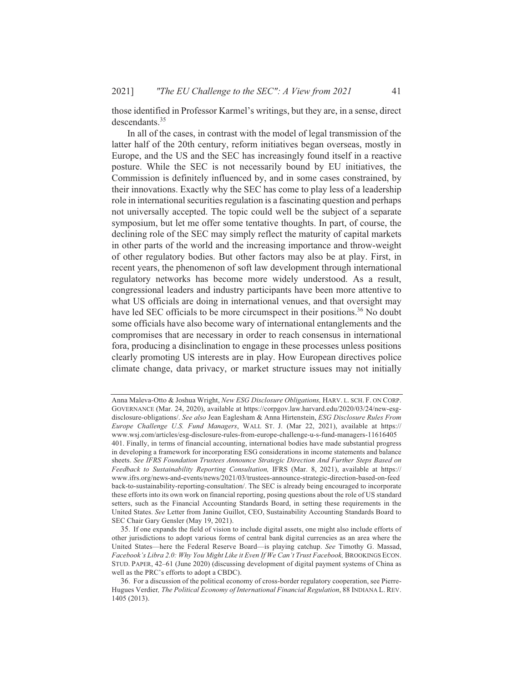those identified in Professor Karmel's writings, but they are, in a sense, direct descendants. $35$ 

In all of the cases, in contrast with the model of legal transmission of the latter half of the 20th century, reform initiatives began overseas, mostly in Europe, and the US and the SEC has increasingly found itself in a reactive posture. While the SEC is not necessarily bound by EU initiatives, the Commission is definitely influenced by, and in some cases constrained, by their innovations. Exactly why the SEC has come to play less of a leadership role in international securities regulation is a fascinating question and perhaps not universally accepted. The topic could well be the subject of a separate symposium, but let me offer some tentative thoughts. In part, of course, the declining role of the SEC may simply reflect the maturity of capital markets in other parts of the world and the increasing importance and throw-weight of other regulatory bodies. But other factors may also be at play. First, in recent years, the phenomenon of soft law development through international regulatory networks has become more widely understood. As a result, congressional leaders and industry participants have been more attentive to what US officials are doing in international venues, and that oversight may have led SEC officials to be more circumspect in their positions.<sup>36</sup> No doubt some officials have also become wary of international entanglements and the compromises that are necessary in order to reach consensus in international fora, producing a disinclination to engage in these processes unless positions clearly promoting US interests are in play. How European directives police climate change, data privacy, or market structure issues may not initially

Anna Maleva-Otto & Joshua Wright, New ESG Disclosure Obligations, HARV, L. SCH. F. ON CORP. GOVERNANCE (Mar. 24, 2020), available at https://corpgov.law.harvard.edu/2020/03/24/new-esgdisclosure-obligations/. See also Jean Eaglesham & Anna Hirtenstein, ESG Disclosure Rules From Europe Challenge U.S. Fund Managers, WALL ST. J. (Mar 22, 2021), available at https:// www.wsj.com/articles/esg-disclosure-rules-from-europe-challenge-u-s-fund-managers-11616405 401. Finally, in terms of financial accounting, international bodies have made substantial progress in developing a framework for incorporating ESG considerations in income statements and balance sheets. See IFRS Foundation Trustees Announce Strategic Direction And Further Steps Based on Feedback to Sustainability Reporting Consultation, IFRS (Mar. 8, 2021), available at https:// www.ifrs.org/news-and-events/news/2021/03/trustees-announce-strategic-direction-based-on-feed back-to-sustainability-reporting-consultation/. The SEC is already being encouraged to incorporate these efforts into its own work on financial reporting, posing questions about the role of US standard setters, such as the Financial Accounting Standards Board, in setting these requirements in the United States. See Letter from Janine Guillot, CEO, Sustainability Accounting Standards Board to SEC Chair Gary Gensler (May 19, 2021).

<sup>35.</sup> If one expands the field of vision to include digital assets, one might also include efforts of other jurisdictions to adopt various forms of central bank digital currencies as an area where the United States-here the Federal Reserve Board-is playing catchup. See Timothy G. Massad, Facebook's Libra 2.0: Why You Might Like it Even If We Can't Trust Facebook, BROOKINGS ECON. STUD. PAPER, 42-61 (June 2020) (discussing development of digital payment systems of China as well as the PRC's efforts to adopt a CBDC).

<sup>36.</sup> For a discussion of the political economy of cross-border regulatory cooperation, see Pierre-Hugues Verdier, The Political Economy of International Financial Regulation, 88 INDIANA L. REV. 1405 (2013).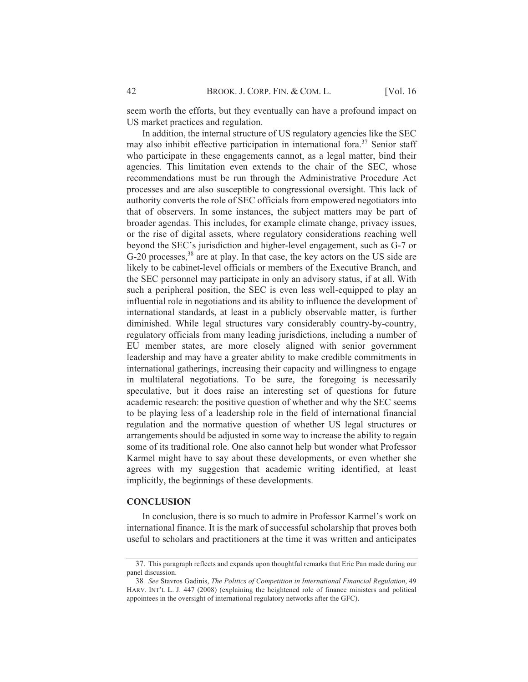seem worth the efforts, but they eventually can have a profound impact on US market practices and regulation.

In addition, the internal structure of US regulatory agencies like the SEC may also inhibit effective participation in international fora.<sup>37</sup> Senior staff who participate in these engagements cannot, as a legal matter, bind their agencies. This limitation even extends to the chair of the SEC, whose recommendations must be run through the Administrative Procedure Act processes and are also susceptible to congressional oversight. This lack of authority converts the role of SEC officials from empowered negotiators into that of observers. In some instances, the subject matters may be part of broader agendas. This includes, for example climate change, privacy issues, or the rise of digital assets, where regulatory considerations reaching well beyond the SEC's jurisdiction and higher-level engagement, such as G-7 or G-20 processes, <sup>38</sup> are at play. In that case, the key actors on the US side are likely to be cabinet-level officials or members of the Executive Branch, and the SEC personnel may participate in only an advisory status, if at all. With such a peripheral position, the SEC is even less well-equipped to play an influential role in negotiations and its ability to influence the development of international standards, at least in a publicly observable matter, is further diminished. While legal structures vary considerably country-by-country, regulatory officials from many leading jurisdictions, including a number of EU member states, are more closely aligned with senior government leadership and may have a greater ability to make credible commitments in international gatherings, increasing their capacity and willingness to engage in multilateral negotiations. To be sure, the foregoing is necessarily speculative, but it does raise an interesting set of questions for future academic research: the positive question of whether and why the SEC seems to be playing less of a leadership role in the field of international financial regulation and the normative question of whether US legal structures or arrangements should be adjusted in some way to increase the ability to regain some of its traditional role. One also cannot help but wonder what Professor Karmel might have to say about these developments, or even whether she agrees with my suggestion that academic writing identified, at least implicitly, the beginnings of these developments.

### **CONCLUSION**

In conclusion, there is so much to admire in Professor Karmel's work on international finance. It is the mark of successful scholarship that proves both useful to scholars and practitioners at the time it was written and anticipates

<sup>37.</sup> This paragraph reflects and expands upon thoughtful remarks that Eric Pan made during our panel discussion.

<sup>38.</sup> See Stavros Gadinis, The Politics of Competition in International Financial Regulation, 49 HARV. INT'L L. J. 447 (2008) (explaining the heightened role of finance ministers and political appointees in the oversight of international regulatory networks after the GFC).